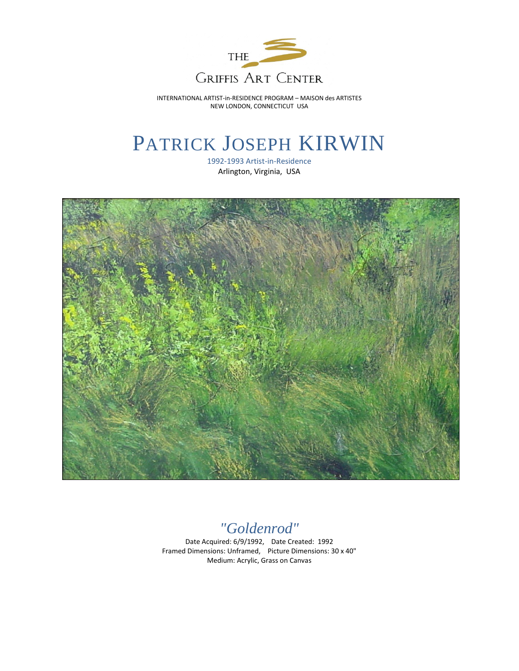

INTERNATIONAL ARTIST-in-RESIDENCE PROGRAM – MAISON des ARTISTES NEW LONDON, CONNECTICUT USA

## PATRICK JOSEPH KIRWIN

1992-1993 Artist-in-Residence Arlington, Virginia, USA



*"Goldenrod"*

Date Acquired: 6/9/1992, Date Created: 1992 Framed Dimensions: Unframed, Picture Dimensions: 30 x 40" Medium: Acrylic, Grass on Canvas